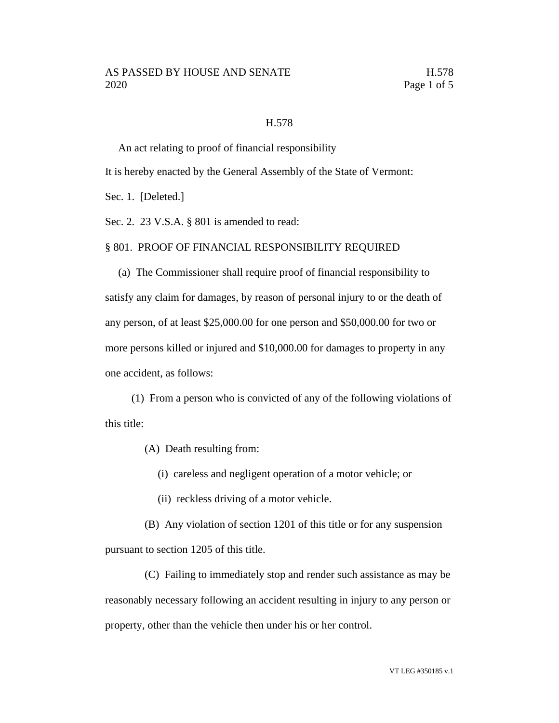## H.578

An act relating to proof of financial responsibility

It is hereby enacted by the General Assembly of the State of Vermont:

Sec. 1. [Deleted.]

Sec. 2. 23 V.S.A. § 801 is amended to read:

#### § 801. PROOF OF FINANCIAL RESPONSIBILITY REQUIRED

(a) The Commissioner shall require proof of financial responsibility to satisfy any claim for damages, by reason of personal injury to or the death of any person, of at least \$25,000.00 for one person and \$50,000.00 for two or more persons killed or injured and \$10,000.00 for damages to property in any one accident, as follows:

(1) From a person who is convicted of any of the following violations of this title:

(A) Death resulting from:

(i) careless and negligent operation of a motor vehicle; or

(ii) reckless driving of a motor vehicle.

(B) Any violation of section 1201 of this title or for any suspension pursuant to section 1205 of this title.

(C) Failing to immediately stop and render such assistance as may be reasonably necessary following an accident resulting in injury to any person or property, other than the vehicle then under his or her control.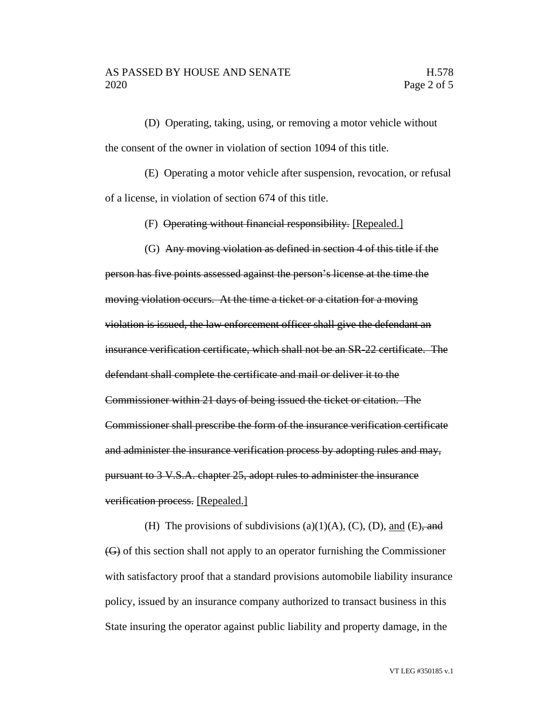(D) Operating, taking, using, or removing a motor vehicle without the consent of the owner in violation of section 1094 of this title.

(E) Operating a motor vehicle after suspension, revocation, or refusal of a license, in violation of section 674 of this title.

(F) Operating without financial responsibility. [Repealed.]

(G) Any moving violation as defined in section 4 of this title if the person has five points assessed against the person's license at the time the moving violation occurs. At the time a ticket or a citation for a moving violation is issued, the law enforcement officer shall give the defendant an insurance verification certificate, which shall not be an SR-22 certificate. The defendant shall complete the certificate and mail or deliver it to the Commissioner within 21 days of being issued the ticket or citation. The Commissioner shall prescribe the form of the insurance verification certificate and administer the insurance verification process by adopting rules and may, pursuant to 3 V.S.A. chapter 25, adopt rules to administer the insurance verification process. [Repealed.]

(H) The provisions of subdivisions (a)(1)(A), (C), (D), and (E), and (G) of this section shall not apply to an operator furnishing the Commissioner with satisfactory proof that a standard provisions automobile liability insurance policy, issued by an insurance company authorized to transact business in this State insuring the operator against public liability and property damage, in the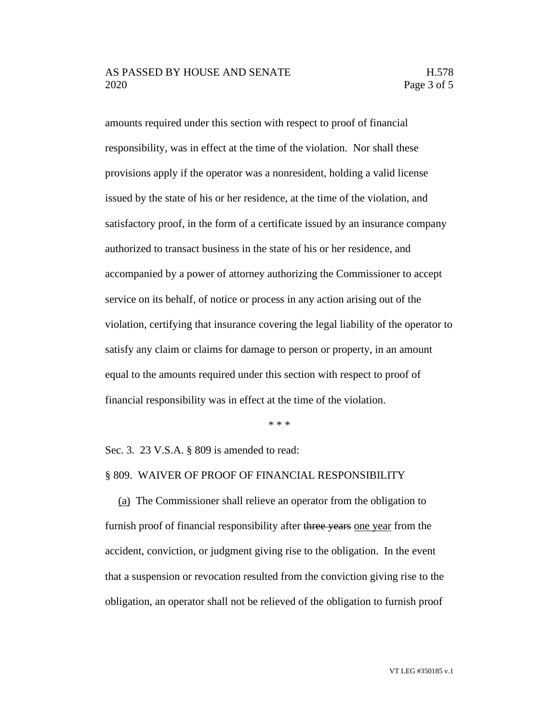# AS PASSED BY HOUSE AND SENATE H.578 2020 Page 3 of 5

amounts required under this section with respect to proof of financial responsibility, was in effect at the time of the violation. Nor shall these provisions apply if the operator was a nonresident, holding a valid license issued by the state of his or her residence, at the time of the violation, and satisfactory proof, in the form of a certificate issued by an insurance company authorized to transact business in the state of his or her residence, and accompanied by a power of attorney authorizing the Commissioner to accept service on its behalf, of notice or process in any action arising out of the violation, certifying that insurance covering the legal liability of the operator to satisfy any claim or claims for damage to person or property, in an amount equal to the amounts required under this section with respect to proof of financial responsibility was in effect at the time of the violation.

\* \* \*

Sec. 3. 23 V.S.A. § 809 is amended to read:

## § 809. WAIVER OF PROOF OF FINANCIAL RESPONSIBILITY

(a) The Commissioner shall relieve an operator from the obligation to furnish proof of financial responsibility after three years one year from the accident, conviction, or judgment giving rise to the obligation. In the event that a suspension or revocation resulted from the conviction giving rise to the obligation, an operator shall not be relieved of the obligation to furnish proof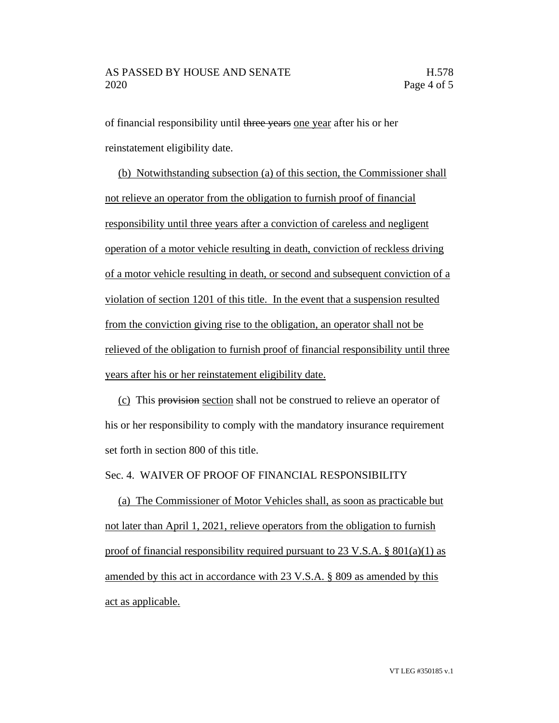of financial responsibility until three years one year after his or her reinstatement eligibility date.

(b) Notwithstanding subsection (a) of this section, the Commissioner shall not relieve an operator from the obligation to furnish proof of financial responsibility until three years after a conviction of careless and negligent operation of a motor vehicle resulting in death, conviction of reckless driving of a motor vehicle resulting in death, or second and subsequent conviction of a violation of section 1201 of this title. In the event that a suspension resulted from the conviction giving rise to the obligation, an operator shall not be relieved of the obligation to furnish proof of financial responsibility until three years after his or her reinstatement eligibility date.

(c) This provision section shall not be construed to relieve an operator of his or her responsibility to comply with the mandatory insurance requirement set forth in section 800 of this title.

## Sec. 4. WAIVER OF PROOF OF FINANCIAL RESPONSIBILITY

(a) The Commissioner of Motor Vehicles shall, as soon as practicable but not later than April 1, 2021, relieve operators from the obligation to furnish proof of financial responsibility required pursuant to 23 V.S.A. § 801(a)(1) as amended by this act in accordance with 23 V.S.A. § 809 as amended by this act as applicable.